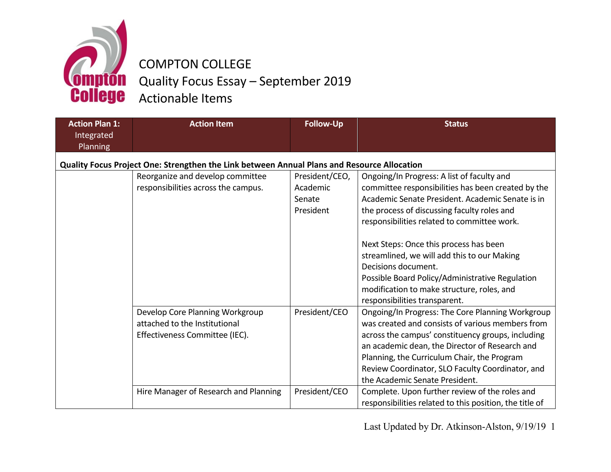

## COMPTON COLLEGE Quality Focus Essay – September 2019 **Comption** Quality Focus Essa

| <b>Action Plan 1:</b><br>Integrated<br><b>Planning</b> | <b>Action Item</b>                                                                                                                          | <b>Follow-Up</b>                                  | <b>Status</b>                                                                                                                                                                                                                                                                                                                                                                                                                                                                                        |
|--------------------------------------------------------|---------------------------------------------------------------------------------------------------------------------------------------------|---------------------------------------------------|------------------------------------------------------------------------------------------------------------------------------------------------------------------------------------------------------------------------------------------------------------------------------------------------------------------------------------------------------------------------------------------------------------------------------------------------------------------------------------------------------|
|                                                        | Quality Focus Project One: Strengthen the Link between Annual Plans and Resource Allocation                                                 |                                                   |                                                                                                                                                                                                                                                                                                                                                                                                                                                                                                      |
|                                                        | Reorganize and develop committee<br>responsibilities across the campus.                                                                     | President/CEO,<br>Academic<br>Senate<br>President | Ongoing/In Progress: A list of faculty and<br>committee responsibilities has been created by the<br>Academic Senate President. Academic Senate is in<br>the process of discussing faculty roles and<br>responsibilities related to committee work.<br>Next Steps: Once this process has been<br>streamlined, we will add this to our Making<br>Decisions document.<br>Possible Board Policy/Administrative Regulation<br>modification to make structure, roles, and<br>responsibilities transparent. |
|                                                        | Develop Core Planning Workgroup<br>attached to the Institutional<br>Effectiveness Committee (IEC).<br>Hire Manager of Research and Planning | President/CEO<br>President/CEO                    | Ongoing/In Progress: The Core Planning Workgroup<br>was created and consists of various members from<br>across the campus' constituency groups, including<br>an academic dean, the Director of Research and<br>Planning, the Curriculum Chair, the Program<br>Review Coordinator, SLO Faculty Coordinator, and<br>the Academic Senate President.<br>Complete. Upon further review of the roles and                                                                                                   |
|                                                        |                                                                                                                                             |                                                   | responsibilities related to this position, the title of                                                                                                                                                                                                                                                                                                                                                                                                                                              |

Last Updated by Dr. Atkinson-Alston, 9/19/19 1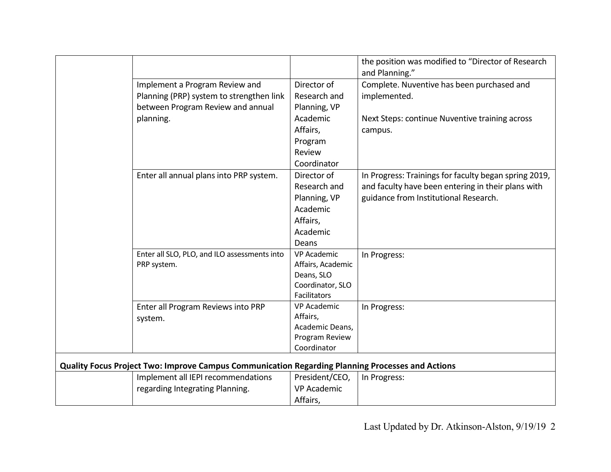|                                                                                                  | the position was modified to "Director of Research<br>and Planning." |  |  |
|--------------------------------------------------------------------------------------------------|----------------------------------------------------------------------|--|--|
| Director of<br>Implement a Program Review and                                                    | Complete. Nuventive has been purchased and                           |  |  |
| Planning (PRP) system to strengthen link<br>Research and                                         | implemented.                                                         |  |  |
| between Program Review and annual<br>Planning, VP                                                |                                                                      |  |  |
| Academic<br>planning.                                                                            | Next Steps: continue Nuventive training across                       |  |  |
| Affairs,                                                                                         | campus.                                                              |  |  |
| Program                                                                                          |                                                                      |  |  |
| Review                                                                                           |                                                                      |  |  |
| Coordinator                                                                                      |                                                                      |  |  |
| Director of<br>Enter all annual plans into PRP system.                                           | In Progress: Trainings for faculty began spring 2019,                |  |  |
| Research and                                                                                     | and faculty have been entering in their plans with                   |  |  |
| Planning, VP                                                                                     | guidance from Institutional Research.                                |  |  |
| Academic                                                                                         |                                                                      |  |  |
| Affairs,                                                                                         |                                                                      |  |  |
| Academic                                                                                         |                                                                      |  |  |
| Deans                                                                                            |                                                                      |  |  |
| Enter all SLO, PLO, and ILO assessments into<br><b>VP Academic</b>                               | In Progress:                                                         |  |  |
| PRP system.<br>Affairs, Academic                                                                 |                                                                      |  |  |
| Deans, SLO                                                                                       |                                                                      |  |  |
| Coordinator, SLO<br>Facilitators                                                                 |                                                                      |  |  |
| <b>VP Academic</b><br>Enter all Program Reviews into PRP                                         | In Progress:                                                         |  |  |
| Affairs,<br>system.                                                                              |                                                                      |  |  |
| Academic Deans,                                                                                  |                                                                      |  |  |
| Program Review                                                                                   |                                                                      |  |  |
| Coordinator                                                                                      |                                                                      |  |  |
| Quality Focus Project Two: Improve Campus Communication Regarding Planning Processes and Actions |                                                                      |  |  |
| Implement all IEPI recommendations<br>President/CEO,                                             | In Progress:                                                         |  |  |
| regarding Integrating Planning.<br><b>VP Academic</b>                                            |                                                                      |  |  |
| Affairs,                                                                                         |                                                                      |  |  |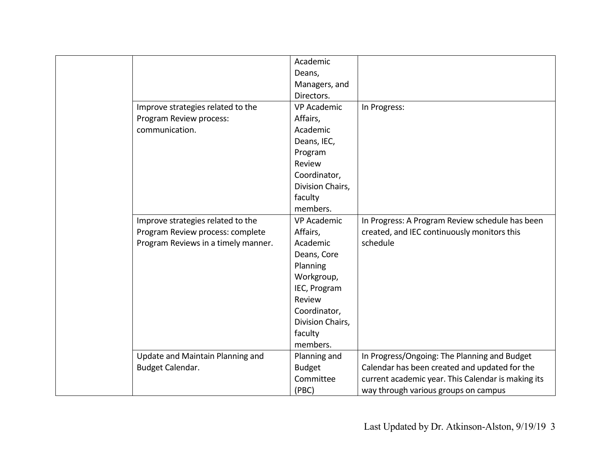|                                     | Academic           |                                                    |
|-------------------------------------|--------------------|----------------------------------------------------|
|                                     | Deans,             |                                                    |
|                                     | Managers, and      |                                                    |
|                                     | Directors.         |                                                    |
| Improve strategies related to the   | <b>VP Academic</b> | In Progress:                                       |
| Program Review process:             | Affairs,           |                                                    |
| communication.                      | Academic           |                                                    |
|                                     | Deans, IEC,        |                                                    |
|                                     | Program            |                                                    |
|                                     | Review             |                                                    |
|                                     | Coordinator,       |                                                    |
|                                     | Division Chairs,   |                                                    |
|                                     | faculty            |                                                    |
|                                     | members.           |                                                    |
| Improve strategies related to the   | <b>VP Academic</b> | In Progress: A Program Review schedule has been    |
| Program Review process: complete    | Affairs,           | created, and IEC continuously monitors this        |
| Program Reviews in a timely manner. | Academic           | schedule                                           |
|                                     | Deans, Core        |                                                    |
|                                     | Planning           |                                                    |
|                                     | Workgroup,         |                                                    |
|                                     | IEC, Program       |                                                    |
|                                     | Review             |                                                    |
|                                     | Coordinator,       |                                                    |
|                                     | Division Chairs,   |                                                    |
|                                     | faculty            |                                                    |
|                                     | members.           |                                                    |
| Update and Maintain Planning and    | Planning and       | In Progress/Ongoing: The Planning and Budget       |
| Budget Calendar.                    | <b>Budget</b>      | Calendar has been created and updated for the      |
|                                     | Committee          | current academic year. This Calendar is making its |
|                                     | (PBC)              | way through various groups on campus               |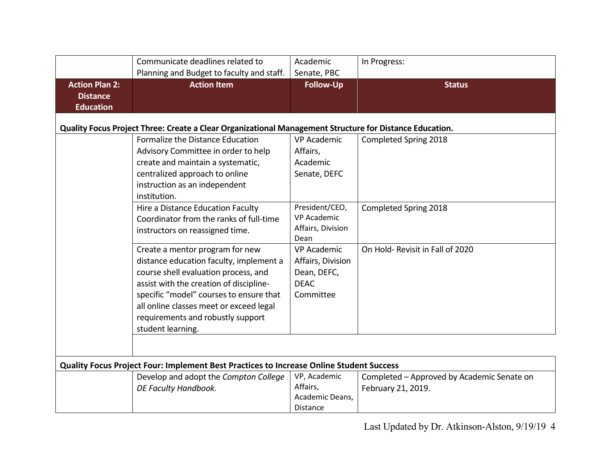|                                                              | Communicate deadlines related to<br>Planning and Budget to faculty and staff.                                                                                                                                                                                                                                 | Academic<br>Senate, PBC                                                            | In Progress:                                                     |
|--------------------------------------------------------------|---------------------------------------------------------------------------------------------------------------------------------------------------------------------------------------------------------------------------------------------------------------------------------------------------------------|------------------------------------------------------------------------------------|------------------------------------------------------------------|
| <b>Action Plan 2:</b><br><b>Distance</b><br><b>Education</b> | <b>Action Item</b>                                                                                                                                                                                                                                                                                            | <b>Follow-Up</b>                                                                   | <b>Status</b>                                                    |
|                                                              | Quality Focus Project Three: Create a Clear Organizational Management Structure for Distance Education.<br>Formalize the Distance Education<br>Advisory Committee in order to help<br>create and maintain a systematic,<br>centralized approach to online<br>instruction as an independent<br>institution.    | <b>VP Academic</b><br>Affairs,<br>Academic<br>Senate, DEFC                         | Completed Spring 2018                                            |
|                                                              | Hire a Distance Education Faculty<br>Coordinator from the ranks of full-time<br>instructors on reassigned time.                                                                                                                                                                                               | President/CEO,<br><b>VP Academic</b><br>Affairs, Division<br>Dean                  | Completed Spring 2018                                            |
|                                                              | Create a mentor program for new<br>distance education faculty, implement a<br>course shell evaluation process, and<br>assist with the creation of discipline-<br>specific "model" courses to ensure that<br>all online classes meet or exceed legal<br>requirements and robustly support<br>student learning. | <b>VP Academic</b><br>Affairs, Division<br>Dean, DEFC,<br><b>DEAC</b><br>Committee | On Hold-Revisit in Fall of 2020                                  |
|                                                              |                                                                                                                                                                                                                                                                                                               |                                                                                    |                                                                  |
|                                                              | Quality Focus Project Four: Implement Best Practices to Increase Online Student Success<br>Develop and adopt the Compton College<br>DE Faculty Handbook.                                                                                                                                                      | VP, Academic<br>Affairs,<br>Academic Deans,<br>Distance                            | Completed - Approved by Academic Senate on<br>February 21, 2019. |

Last Updated by Dr. Atkinson-Alston, 9/19/19 4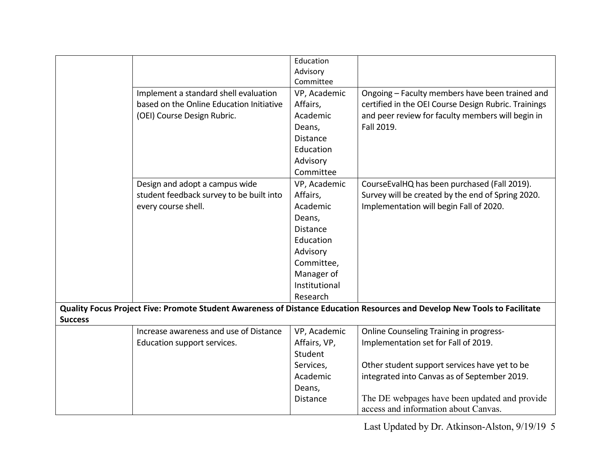|                                                                                                                           |                                          | Education       |                                                      |  |
|---------------------------------------------------------------------------------------------------------------------------|------------------------------------------|-----------------|------------------------------------------------------|--|
|                                                                                                                           |                                          | Advisory        |                                                      |  |
|                                                                                                                           |                                          | Committee       |                                                      |  |
|                                                                                                                           | Implement a standard shell evaluation    | VP, Academic    | Ongoing - Faculty members have been trained and      |  |
|                                                                                                                           | based on the Online Education Initiative | Affairs,        | certified in the OEI Course Design Rubric. Trainings |  |
|                                                                                                                           | (OEI) Course Design Rubric.              | Academic        | and peer review for faculty members will begin in    |  |
|                                                                                                                           |                                          | Deans,          | Fall 2019.                                           |  |
|                                                                                                                           |                                          | <b>Distance</b> |                                                      |  |
|                                                                                                                           |                                          | Education       |                                                      |  |
|                                                                                                                           |                                          | Advisory        |                                                      |  |
|                                                                                                                           |                                          | Committee       |                                                      |  |
|                                                                                                                           | Design and adopt a campus wide           | VP, Academic    | CourseEvalHQ has been purchased (Fall 2019).         |  |
|                                                                                                                           | student feedback survey to be built into | Affairs,        | Survey will be created by the end of Spring 2020.    |  |
|                                                                                                                           | every course shell.                      | Academic        | Implementation will begin Fall of 2020.              |  |
|                                                                                                                           |                                          | Deans,          |                                                      |  |
|                                                                                                                           |                                          | <b>Distance</b> |                                                      |  |
|                                                                                                                           |                                          | Education       |                                                      |  |
|                                                                                                                           |                                          | Advisory        |                                                      |  |
|                                                                                                                           |                                          | Committee,      |                                                      |  |
|                                                                                                                           |                                          | Manager of      |                                                      |  |
|                                                                                                                           |                                          | Institutional   |                                                      |  |
|                                                                                                                           |                                          | Research        |                                                      |  |
| Quality Focus Project Five: Promote Student Awareness of Distance Education Resources and Develop New Tools to Facilitate |                                          |                 |                                                      |  |
| <b>Success</b>                                                                                                            |                                          |                 |                                                      |  |
|                                                                                                                           | Increase awareness and use of Distance   | VP, Academic    | Online Counseling Training in progress-              |  |
|                                                                                                                           | Education support services.              | Affairs, VP,    | Implementation set for Fall of 2019.                 |  |
|                                                                                                                           |                                          | Student         |                                                      |  |
|                                                                                                                           |                                          | Services,       | Other student support services have yet to be        |  |
|                                                                                                                           |                                          | Academic        | integrated into Canvas as of September 2019.         |  |
|                                                                                                                           |                                          | Deans,          |                                                      |  |
|                                                                                                                           |                                          | <b>Distance</b> | The DE webpages have been updated and provide        |  |
|                                                                                                                           |                                          |                 | access and information about Canvas.                 |  |

Last Updated by Dr. Atkinson-Alston, 9/19/19 5